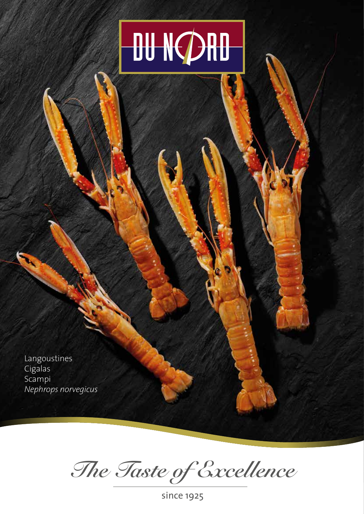## **DU NCDRU**

Langoustines Cigalas Scampi *Nephrops norvegicus*

*The Taste of Excellence*

since 1925